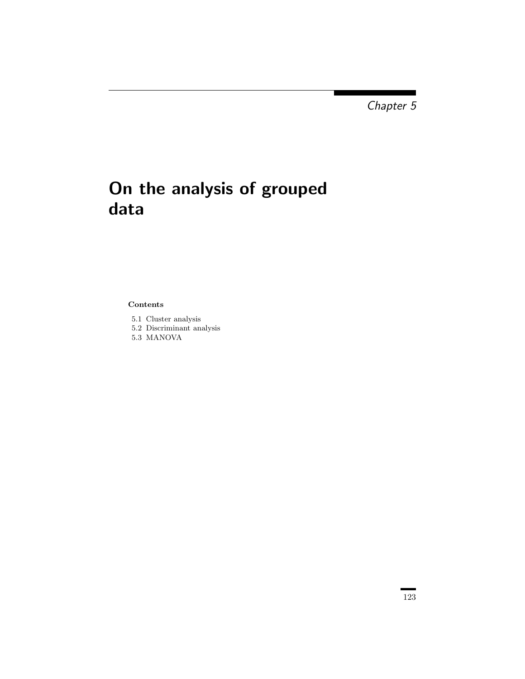Chapter 5

## On the analysis of grouped data

## Contents

- 5.1 Cluster analysis
- 5.2 Discriminant analysis
- 5.3 MANOVA